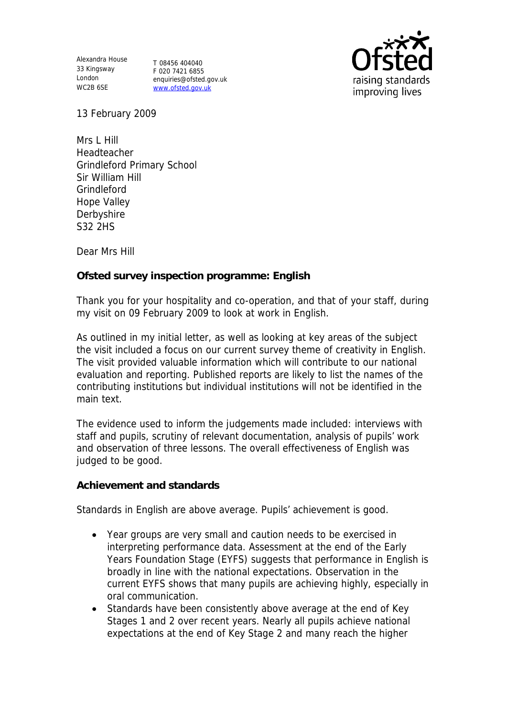Alexandra House 33 Kingsway T 08456 404040 London WC2B 6SE

F 020 7421 6855 enquiries@ofsted.gov.uk www.ofsted.gov.uk



13 February 2009

Mrs L Hill Headteacher Grindleford Primary School Sir William Hill Grindleford Hope Valley Derbyshire S32 2HS

Dear Mrs Hill

**Ofsted survey inspection programme: English** 

Thank you for your hospitality and co-operation, and that of your staff, during my visit on 09 February 2009 to look at work in English.

As outlined in my initial letter, as well as looking at key areas of the subject the visit included a focus on our current survey theme of creativity in English. The visit provided valuable information which will contribute to our national evaluation and reporting. Published reports are likely to list the names of the contributing institutions but individual institutions will not be identified in the main text.

The evidence used to inform the judgements made included: interviews with staff and pupils, scrutiny of relevant documentation, analysis of pupils' work and observation of three lessons. The overall effectiveness of English was judged to be good.

**Achievement and standards** 

Standards in English are above average. Pupils' achievement is good.

- Year groups are very small and caution needs to be exercised in interpreting performance data. Assessment at the end of the Early Years Foundation Stage (EYFS) suggests that performance in English is broadly in line with the national expectations. Observation in the current EYFS shows that many pupils are achieving highly, especially in oral communication.
- Standards have been consistently above average at the end of Key Stages 1 and 2 over recent years. Nearly all pupils achieve national expectations at the end of Key Stage 2 and many reach the higher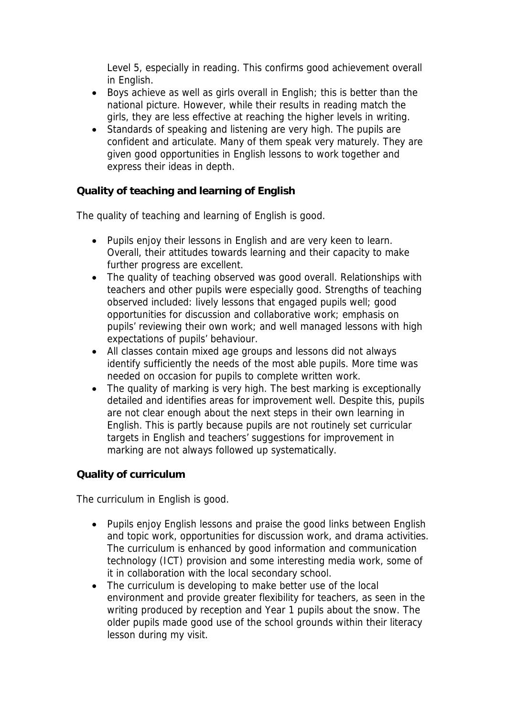Level 5, especially in reading. This confirms good achievement overall in English.

- Boys achieve as well as girls overall in English; this is better than the national picture. However, while their results in reading match the girls, they are less effective at reaching the higher levels in writing.
- Standards of speaking and listening are very high. The pupils are confident and articulate. Many of them speak very maturely. They are given good opportunities in English lessons to work together and express their ideas in depth.

**Quality of teaching and learning of English**

The quality of teaching and learning of English is good.

- Pupils enjoy their lessons in English and are very keen to learn. Overall, their attitudes towards learning and their capacity to make further progress are excellent.
- The quality of teaching observed was good overall. Relationships with teachers and other pupils were especially good. Strengths of teaching observed included: lively lessons that engaged pupils well; good opportunities for discussion and collaborative work; emphasis on pupils' reviewing their own work; and well managed lessons with high expectations of pupils' behaviour.
- All classes contain mixed age groups and lessons did not always identify sufficiently the needs of the most able pupils. More time was needed on occasion for pupils to complete written work.
- The quality of marking is very high. The best marking is exceptionally detailed and identifies areas for improvement well. Despite this, pupils are not clear enough about the next steps in their own learning in English. This is partly because pupils are not routinely set curricular targets in English and teachers' suggestions for improvement in marking are not always followed up systematically.

**Quality of curriculum** 

The curriculum in English is good.

- Pupils enjoy English lessons and praise the good links between English and topic work, opportunities for discussion work, and drama activities. The curriculum is enhanced by good information and communication technology (ICT) provision and some interesting media work, some of it in collaboration with the local secondary school.
- The curriculum is developing to make better use of the local environment and provide greater flexibility for teachers, as seen in the writing produced by reception and Year 1 pupils about the snow. The older pupils made good use of the school grounds within their literacy lesson during my visit.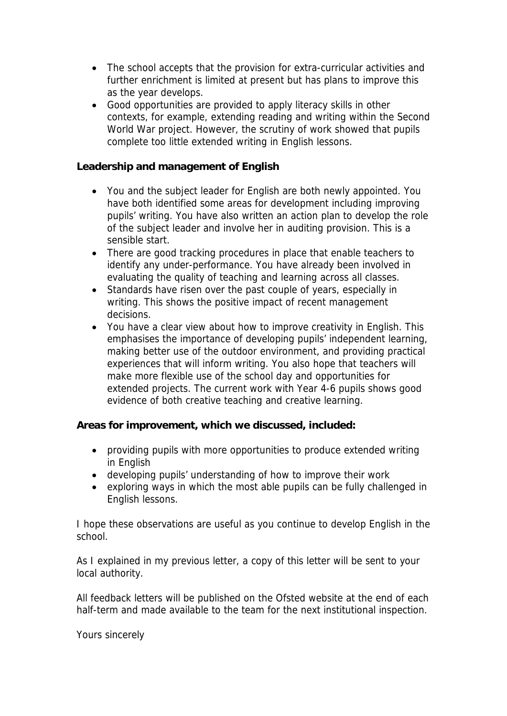- The school accepts that the provision for extra-curricular activities and further enrichment is limited at present but has plans to improve this as the year develops.
- Good opportunities are provided to apply literacy skills in other contexts, for example, extending reading and writing within the Second World War project. However, the scrutiny of work showed that pupils complete too little extended writing in English lessons.

**Leadership and management of English**

- You and the subject leader for English are both newly appointed. You have both identified some areas for development including improving pupils' writing. You have also written an action plan to develop the role of the subject leader and involve her in auditing provision. This is a sensible start.
- There are good tracking procedures in place that enable teachers to identify any under-performance. You have already been involved in evaluating the quality of teaching and learning across all classes.
- Standards have risen over the past couple of years, especially in writing. This shows the positive impact of recent management decisions.
- You have a clear view about how to improve creativity in English. This emphasises the importance of developing pupils' independent learning, making better use of the outdoor environment, and providing practical experiences that will inform writing. You also hope that teachers will make more flexible use of the school day and opportunities for extended projects. The current work with Year 4-6 pupils shows good evidence of both creative teaching and creative learning.

**Areas for improvement, which we discussed, included:**

- providing pupils with more opportunities to produce extended writing in English
- developing pupils' understanding of how to improve their work
- exploring ways in which the most able pupils can be fully challenged in English lessons.

I hope these observations are useful as you continue to develop English in the school.

As I explained in my previous letter, a copy of this letter will be sent to your local authority.

All feedback letters will be published on the Ofsted website at the end of each half-term and made available to the team for the next institutional inspection.

Yours sincerely